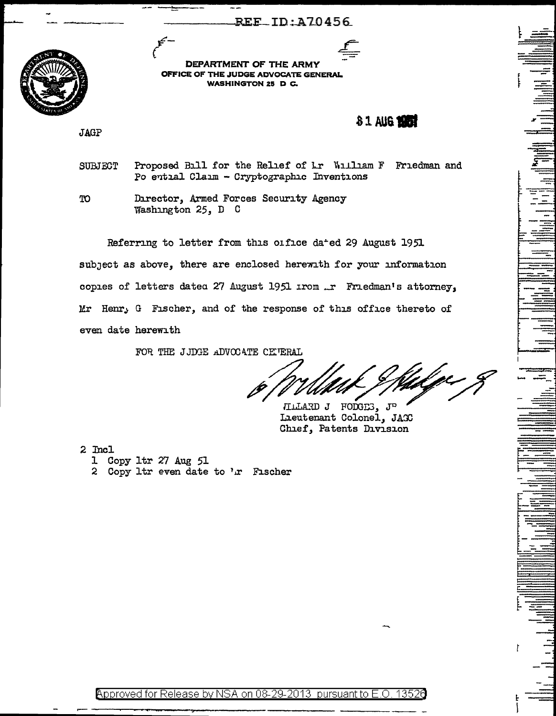**REE\_ID:A70456** 



DEPARTMENT OF THE ARMY OFFICE OF THE JUDGE ADVOCATE GENERAL **WASHINGTON 25 D C.** 

81 AUG 1987

**JAGP** 

Proposed Bill for the Relief of Lr William F Friedman and **SUBJECT** Po ential Claim - Cryptographic Inventions

Director, Armed Forces Security Agency TO Washington 25, D C

Referring to letter from this office dated 29 August 1951 subject as above, there are enclosed herewith for your information copies of letters dated 27 August 1951 irom ... Friedman's attorney, Mr Henr, G Fischer, and of the response of this office thereto of even date herewith

FOR THE JJDGE ADVOCATE CETERAL

HILARD J FODGES, JP Lieutenant Colonel, JAGC Chief, Patents Division

2 Incl

- 1 Copy 1tr 27 Aug 51
- 2 Copy 1tr even date to 'x Fischer

Approved for Release by NSA on 08-29-2013 pursuant to E.O. 13526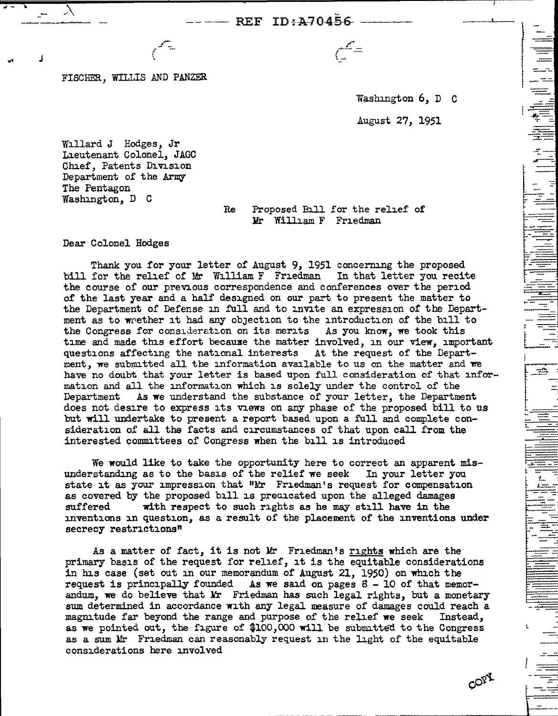FISCHER, WILLIS AND PANZER

*\_r\_*  (

> Washington 6, D C August 27, 1951

t-~ <sup>I</sup>*.ip.--* .,.. ::..

- -- 1=

--<br>דן דן

~ - ----· ----~

Willard J Hodges, Jr Lieutenant Colonel, JAGO Chief, Patents Division Department of the Army The Pentagon Washington, D C

Re Proposed Bill for the relief of Yr William F Friedman

Dear Colonel Hodges

Thank you for your letter of August 9, 1951 concerning the proposed bill for the relief of Mr William F Friedman In that letter you recite the course of our previous correspondence and conferences over the period of the last year and a half designed on our part to present the matter to the Department of Defense in full and to invite an expression of the Department as to whether it had any objection to the introduction of the bill to the Congress for consideration on its merits As you know, we took this time and made this effort because the matter involved, in our view, important questions affecting the national interests At the request of the Department, we submitted all the information available to us on the matter and we have no doubt that your letter is based upon full consideration of that information and all the information which is solely under the control of the Department As we understand the substance of your letter, the Department As we understand the substance of your letter, the Department does not desire to express its views on any phase of the proposed bill to us but will undertake to present a report based upon a full and complete consideration of all the facts and circumstances of that upon call from the interested committees of Congress when the bill is introduced

We would like to take the opportunity here to correct an apparent misunderstanding as to the basis of the relief we seek In your letter you state it as your impression that "Mr Friedman's request for compensation as covered by the proposed bill is predicated upon the alleged damages suffered with respect to such rights as he may still have in the with respect to such rights as he may still have in the inventions in question, as a result of the placement of the inventions under secrecy restrictions"

As a matter of fact, it is not Mr Friedman's rights which are the primary basis of the request for relief, it is the equitable considerations in his case (set out in our memorandum of August 21, 1950) on which the request is principally founded As we said on pages  $8 - 10$  of that memorandum, we do believe that  $Mr$  Friedman has such legal rights, but a monetary sum determined in accordance with any legal measure of damages could reach a magnitude *far* beyond the range and purpose of the relief we seek Instead, as we pointed out, the figure of  $$100,000$  will be submitted to the Congress as a sum Mr Friedman can reasonably request in the light of the equitable considerations here involved

COPY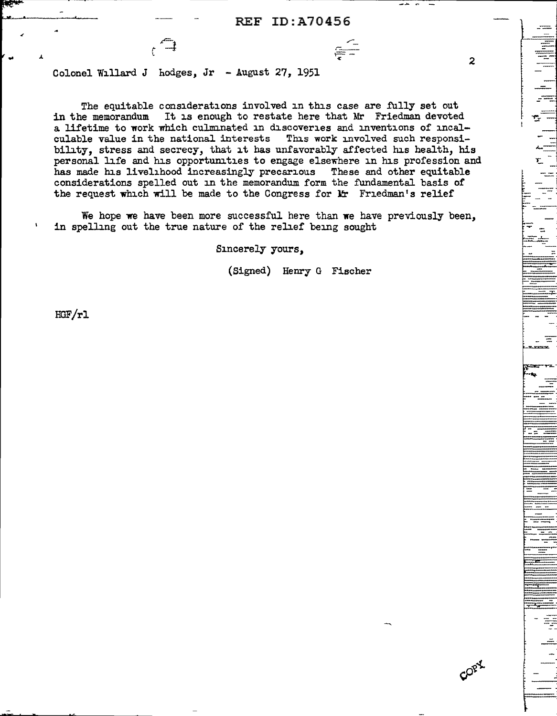2

- ..... -

--~

::

*..::..* 

COPY

Colonel Willard J hodges, Jr - August 27, 1951

 $\epsilon$ <sup> $\rightarrow$ </sup>

The equitable considerations involved in this case are fully set out<br>in the memorandum It is enough to restate here that Mr Friedman devoted It is enough to restate here that Mr Friedman devoted a lifetime to work which culminated in discoveries and inventions of incal-culable value in the national interests This work involved such responsiculable value in the national interests bility, stress and secrecy, that it has unfavorably affected his health, his personal life and his opportunities to engage elsewhere in his profession and has made his livelihood increasingly precarious These and other equitable considerations spelled out in the memorandum form the fundamental basis of the request which will be made to the Congress for  $\mathbf{lr}$  Friedman's relief

We hope we have been more successful here than we have previously been, in spelling out the true nature of the relief being sought

Sincerely yours,

(Signed) Henry G Fischer

HGF/rl

.. .L